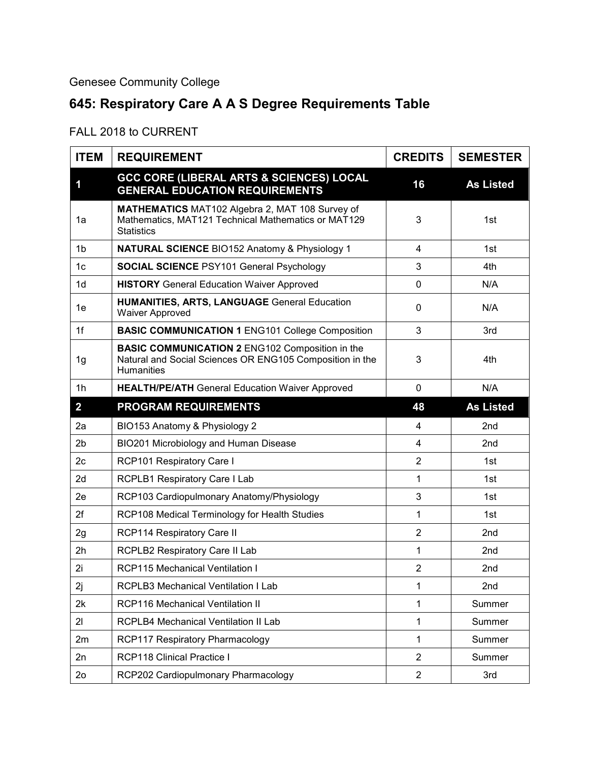## Genesee Community College

## **645: Respiratory Care A A S Degree Requirements Table**

## FALL 2018 to CURRENT

| <b>ITEM</b>    | <b>REQUIREMENT</b>                                                                                                                      | <b>CREDITS</b> | <b>SEMESTER</b>  |
|----------------|-----------------------------------------------------------------------------------------------------------------------------------------|----------------|------------------|
| 1              | <b>GCC CORE (LIBERAL ARTS &amp; SCIENCES) LOCAL</b><br><b>GENERAL EDUCATION REQUIREMENTS</b>                                            | 16             | <b>As Listed</b> |
| 1a             | MATHEMATICS MAT102 Algebra 2, MAT 108 Survey of<br>Mathematics, MAT121 Technical Mathematics or MAT129<br><b>Statistics</b>             | 3              | 1st              |
| 1 <sub>b</sub> | <b>NATURAL SCIENCE BIO152 Anatomy &amp; Physiology 1</b>                                                                                | 4              | 1st              |
| 1 <sub>c</sub> | <b>SOCIAL SCIENCE PSY101 General Psychology</b>                                                                                         | 3              | 4th              |
| 1 <sub>d</sub> | <b>HISTORY</b> General Education Waiver Approved                                                                                        | $\mathbf 0$    | N/A              |
| 1e             | <b>HUMANITIES, ARTS, LANGUAGE General Education</b><br><b>Waiver Approved</b>                                                           | $\mathbf{0}$   | N/A              |
| 1f             | <b>BASIC COMMUNICATION 1 ENG101 College Composition</b>                                                                                 | 3              | 3rd              |
| 1g             | <b>BASIC COMMUNICATION 2 ENG102 Composition in the</b><br>Natural and Social Sciences OR ENG105 Composition in the<br><b>Humanities</b> | 3              | 4th              |
| 1 <sub>h</sub> | <b>HEALTH/PE/ATH General Education Waiver Approved</b>                                                                                  | $\mathbf 0$    | N/A              |
| $\overline{2}$ | <b>PROGRAM REQUIREMENTS</b>                                                                                                             | 48             | <b>As Listed</b> |
| 2a             | BIO153 Anatomy & Physiology 2                                                                                                           | $\overline{4}$ | 2nd              |
| 2 <sub>b</sub> | BIO201 Microbiology and Human Disease                                                                                                   | 4              | 2nd              |
| 2c             | <b>RCP101 Respiratory Care I</b>                                                                                                        | $\overline{2}$ | 1st              |
| 2d             | RCPLB1 Respiratory Care I Lab                                                                                                           | 1              | 1st              |
| 2e             | RCP103 Cardiopulmonary Anatomy/Physiology                                                                                               | 3              | 1st              |
| 2f             | RCP108 Medical Terminology for Health Studies                                                                                           | $\mathbf{1}$   | 1st              |
| 2g             | <b>RCP114 Respiratory Care II</b>                                                                                                       | $\overline{2}$ | 2nd              |
| 2h             | <b>RCPLB2 Respiratory Care II Lab</b>                                                                                                   | $\mathbf{1}$   | 2nd              |
| 2i             | <b>RCP115 Mechanical Ventilation I</b>                                                                                                  | $\overline{2}$ | 2nd              |
| 2j             | <b>RCPLB3 Mechanical Ventilation I Lab</b>                                                                                              | 1              | 2nd              |
| 2k             | <b>RCP116 Mechanical Ventilation II</b>                                                                                                 | 1              | Summer           |
| 21             | RCPLB4 Mechanical Ventilation II Lab                                                                                                    | 1              | Summer           |
| 2m             | RCP117 Respiratory Pharmacology                                                                                                         | $\mathbf{1}$   | Summer           |
| 2n             | RCP118 Clinical Practice I                                                                                                              | $\overline{2}$ | Summer           |
| 2 <sub>o</sub> | RCP202 Cardiopulmonary Pharmacology                                                                                                     | $\overline{2}$ | 3rd              |